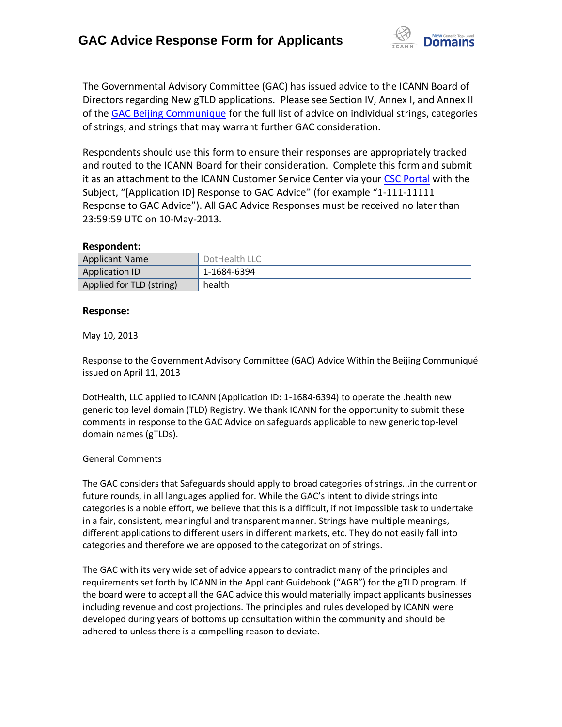

The Governmental Advisory Committee (GAC) has issued advice to the ICANN Board of Directors regarding New gTLD applications. Please see Section IV, Annex I, and Annex II of the [GAC Beijing Communique](http://www.icann.org/en/news/correspondence/gac-to-board-18apr13-en.pdf) for the full list of advice on individual strings, categories of strings, and strings that may warrant further GAC consideration.

Respondents should use this form to ensure their responses are appropriately tracked and routed to the ICANN Board for their consideration. Complete this form and submit it as an attachment to the ICANN Customer Service Center via your CSC [Portal](https://myicann.secure.force.com/) with the Subject, "[Application ID] Response to GAC Advice" (for example "1-111-11111 Response to GAC Advice"). All GAC Advice Responses must be received no later than 23:59:59 UTC on 10-May-2013.

#### **Respondent:**

| <b>Applicant Name</b>    | DotHealth LLC |
|--------------------------|---------------|
| Application ID           | 1-1684-6394   |
| Applied for TLD (string) | health        |

### **Response:**

May 10, 2013

Response to the Government Advisory Committee (GAC) Advice Within the Beijing Communiqué issued on April 11, 2013

DotHealth, LLC applied to ICANN (Application ID: 1-1684-6394) to operate the .health new generic top level domain (TLD) Registry. We thank ICANN for the opportunity to submit these comments in response to the GAC Advice on safeguards applicable to new generic top-level domain names (gTLDs).

### General Comments

The GAC considers that Safeguards should apply to broad categories of strings...in the current or future rounds, in all languages applied for. While the GAC's intent to divide strings into categories is a noble effort, we believe that this is a difficult, if not impossible task to undertake in a fair, consistent, meaningful and transparent manner. Strings have multiple meanings, different applications to different users in different markets, etc. They do not easily fall into categories and therefore we are opposed to the categorization of strings.

The GAC with its very wide set of advice appears to contradict many of the principles and requirements set forth by ICANN in the Applicant Guidebook ("AGB") for the gTLD program. If the board were to accept all the GAC advice this would materially impact applicants businesses including revenue and cost projections. The principles and rules developed by ICANN were developed during years of bottoms up consultation within the community and should be adhered to unless there is a compelling reason to deviate.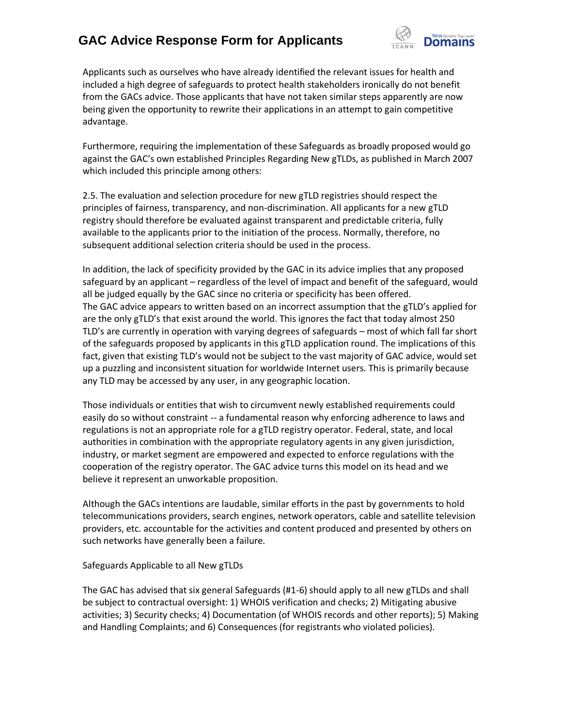

Applicants such as ourselves who have already identified the relevant issues for health and included a high degree of safeguards to protect health stakeholders ironically do not benefit from the GACs advice. Those applicants that have not taken similar steps apparently are now being given the opportunity to rewrite their applications in an attempt to gain competitive advantage.

Furthermore, requiring the implementation of these Safeguards as broadly proposed would go against the GAC's own established Principles Regarding New gTLDs, as published in March 2007 which included this principle among others:

2.5. The evaluation and selection procedure for new gTLD registries should respect the principles of fairness, transparency, and non-discrimination. All applicants for a new gTLD registry should therefore be evaluated against transparent and predictable criteria, fully available to the applicants prior to the initiation of the process. Normally, therefore, no subsequent additional selection criteria should be used in the process.

In addition, the lack of specificity provided by the GAC in its advice implies that any proposed safeguard by an applicant – regardless of the level of impact and benefit of the safeguard, would all be judged equally by the GAC since no criteria or specificity has been offered. The GAC advice appears to written based on an incorrect assumption that the gTLD's applied for are the only gTLD's that exist around the world. This ignores the fact that today almost 250 TLD's are currently in operation with varying degrees of safeguards – most of which fall far short of the safeguards proposed by applicants in this gTLD application round. The implications of this fact, given that existing TLD's would not be subject to the vast majority of GAC advice, would set up a puzzling and inconsistent situation for worldwide Internet users. This is primarily because any TLD may be accessed by any user, in any geographic location.

Those individuals or entities that wish to circumvent newly established requirements could easily do so without constraint -- a fundamental reason why enforcing adherence to laws and regulations is not an appropriate role for a gTLD registry operator. Federal, state, and local authorities in combination with the appropriate regulatory agents in any given jurisdiction, industry, or market segment are empowered and expected to enforce regulations with the cooperation of the registry operator. The GAC advice turns this model on its head and we believe it represent an unworkable proposition.

Although the GACs intentions are laudable, similar efforts in the past by governments to hold telecommunications providers, search engines, network operators, cable and satellite television providers, etc. accountable for the activities and content produced and presented by others on such networks have generally been a failure.

Safeguards Applicable to all New gTLDs

The GAC has advised that six general Safeguards (#1-6) should apply to all new gTLDs and shall be subject to contractual oversight: 1) WHOIS verification and checks; 2) Mitigating abusive activities; 3) Security checks; 4) Documentation (of WHOIS records and other reports); 5) Making and Handling Complaints; and 6) Consequences (for registrants who violated policies).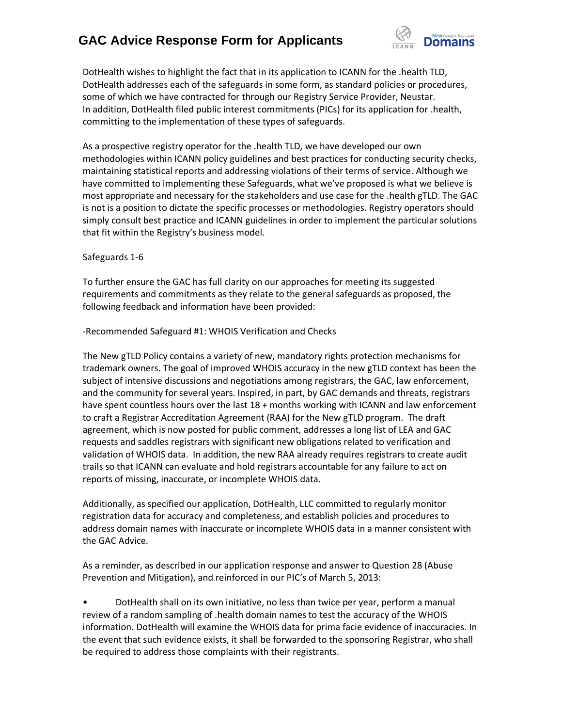

DotHealth wishes to highlight the fact that in its application to ICANN for the .health TLD, DotHealth addresses each of the safeguards in some form, as standard policies or procedures, some of which we have contracted for through our Registry Service Provider, Neustar. In addition, DotHealth filed public interest commitments (PICs) for its application for .health, committing to the implementation of these types of safeguards.

As a prospective registry operator for the .health TLD, we have developed our own methodologies within ICANN policy guidelines and best practices for conducting security checks, maintaining statistical reports and addressing violations of their terms of service. Although we have committed to implementing these Safeguards, what we've proposed is what we believe is most appropriate and necessary for the stakeholders and use case for the .health gTLD. The GAC is not is a position to dictate the specific processes or methodologies. Registry operators should simply consult best practice and ICANN guidelines in order to implement the particular solutions that fit within the Registry's business model.

### Safeguards 1-6

To further ensure the GAC has full clarity on our approaches for meeting its suggested requirements and commitments as they relate to the general safeguards as proposed, the following feedback and information have been provided:

-Recommended Safeguard #1: WHOIS Verification and Checks

The New gTLD Policy contains a variety of new, mandatory rights protection mechanisms for trademark owners. The goal of improved WHOIS accuracy in the new gTLD context has been the subject of intensive discussions and negotiations among registrars, the GAC, law enforcement, and the community for several years. Inspired, in part, by GAC demands and threats, registrars have spent countless hours over the last 18 + months working with ICANN and law enforcement to craft a Registrar Accreditation Agreement (RAA) for the New gTLD program. The draft agreement, which is now posted for public comment, addresses a long list of LEA and GAC requests and saddles registrars with significant new obligations related to verification and validation of WHOIS data. In addition, the new RAA already requires registrars to create audit trails so that ICANN can evaluate and hold registrars accountable for any failure to act on reports of missing, inaccurate, or incomplete WHOIS data.

Additionally, as specified our application, DotHealth, LLC committed to regularly monitor registration data for accuracy and completeness, and establish policies and procedures to address domain names with inaccurate or incomplete WHOIS data in a manner consistent with the GAC Advice.

As a reminder, as described in our application response and answer to Question 28 (Abuse Prevention and Mitigation), and reinforced in our PIC's of March 5, 2013:

• DotHealth shall on its own initiative, no less than twice per year, perform a manual review of a random sampling of .health domain names to test the accuracy of the WHOIS information. DotHealth will examine the WHOIS data for prima facie evidence of inaccuracies. In the event that such evidence exists, it shall be forwarded to the sponsoring Registrar, who shall be required to address those complaints with their registrants.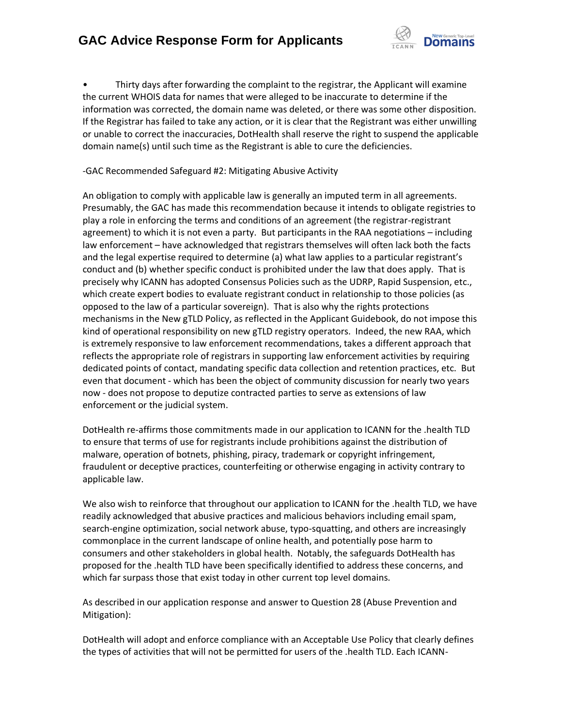

• Thirty days after forwarding the complaint to the registrar, the Applicant will examine the current WHOIS data for names that were alleged to be inaccurate to determine if the information was corrected, the domain name was deleted, or there was some other disposition. If the Registrar has failed to take any action, or it is clear that the Registrant was either unwilling or unable to correct the inaccuracies, DotHealth shall reserve the right to suspend the applicable domain name(s) until such time as the Registrant is able to cure the deficiencies.

### -GAC Recommended Safeguard #2: Mitigating Abusive Activity

An obligation to comply with applicable law is generally an imputed term in all agreements. Presumably, the GAC has made this recommendation because it intends to obligate registries to play a role in enforcing the terms and conditions of an agreement (the registrar-registrant agreement) to which it is not even a party. But participants in the RAA negotiations – including law enforcement – have acknowledged that registrars themselves will often lack both the facts and the legal expertise required to determine (a) what law applies to a particular registrant's conduct and (b) whether specific conduct is prohibited under the law that does apply. That is precisely why ICANN has adopted Consensus Policies such as the UDRP, Rapid Suspension, etc., which create expert bodies to evaluate registrant conduct in relationship to those policies (as opposed to the law of a particular sovereign). That is also why the rights protections mechanisms in the New gTLD Policy, as reflected in the Applicant Guidebook, do not impose this kind of operational responsibility on new gTLD registry operators. Indeed, the new RAA, which is extremely responsive to law enforcement recommendations, takes a different approach that reflects the appropriate role of registrars in supporting law enforcement activities by requiring dedicated points of contact, mandating specific data collection and retention practices, etc. But even that document - which has been the object of community discussion for nearly two years now - does not propose to deputize contracted parties to serve as extensions of law enforcement or the judicial system.

DotHealth re-affirms those commitments made in our application to ICANN for the .health TLD to ensure that terms of use for registrants include prohibitions against the distribution of malware, operation of botnets, phishing, piracy, trademark or copyright infringement, fraudulent or deceptive practices, counterfeiting or otherwise engaging in activity contrary to applicable law.

We also wish to reinforce that throughout our application to ICANN for the .health TLD, we have readily acknowledged that abusive practices and malicious behaviors including email spam, search-engine optimization, social network abuse, typo-squatting, and others are increasingly commonplace in the current landscape of online health, and potentially pose harm to consumers and other stakeholders in global health. Notably, the safeguards DotHealth has proposed for the .health TLD have been specifically identified to address these concerns, and which far surpass those that exist today in other current top level domains.

As described in our application response and answer to Question 28 (Abuse Prevention and Mitigation):

DotHealth will adopt and enforce compliance with an Acceptable Use Policy that clearly defines the types of activities that will not be permitted for users of the .health TLD. Each ICANN-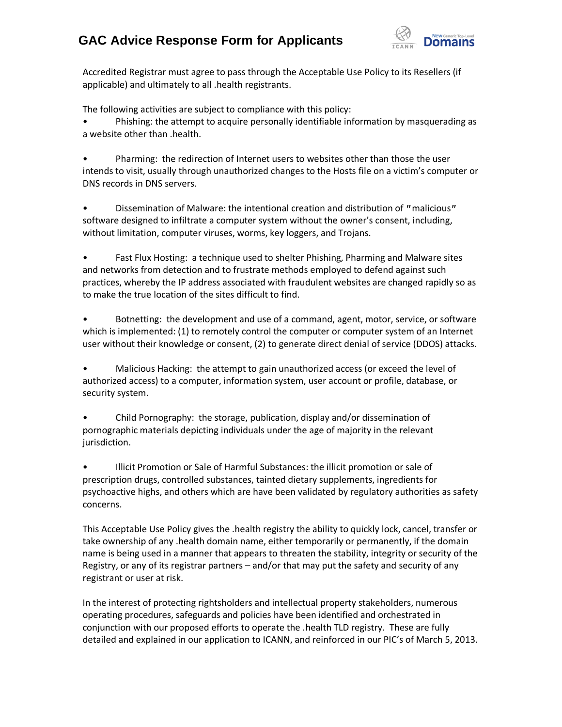

Accredited Registrar must agree to pass through the Acceptable Use Policy to its Resellers (if applicable) and ultimately to all .health registrants.

The following activities are subject to compliance with this policy:

• Phishing: the attempt to acquire personally identifiable information by masquerading as a website other than .health.

• Pharming: the redirection of Internet users to websites other than those the user intends to visit, usually through unauthorized changes to the Hosts file on a victim's computer or DNS records in DNS servers.

Dissemination of Malware: the intentional creation and distribution of "malicious" software designed to infiltrate a computer system without the owner's consent, including, without limitation, computer viruses, worms, key loggers, and Trojans.

• Fast Flux Hosting: a technique used to shelter Phishing, Pharming and Malware sites and networks from detection and to frustrate methods employed to defend against such practices, whereby the IP address associated with fraudulent websites are changed rapidly so as to make the true location of the sites difficult to find.

• Botnetting: the development and use of a command, agent, motor, service, or software which is implemented: (1) to remotely control the computer or computer system of an Internet user without their knowledge or consent, (2) to generate direct denial of service (DDOS) attacks.

• Malicious Hacking: the attempt to gain unauthorized access (or exceed the level of authorized access) to a computer, information system, user account or profile, database, or security system.

• Child Pornography: the storage, publication, display and/or dissemination of pornographic materials depicting individuals under the age of majority in the relevant jurisdiction.

• Illicit Promotion or Sale of Harmful Substances: the illicit promotion or sale of prescription drugs, controlled substances, tainted dietary supplements, ingredients for psychoactive highs, and others which are have been validated by regulatory authorities as safety concerns.

This Acceptable Use Policy gives the .health registry the ability to quickly lock, cancel, transfer or take ownership of any .health domain name, either temporarily or permanently, if the domain name is being used in a manner that appears to threaten the stability, integrity or security of the Registry, or any of its registrar partners – and/or that may put the safety and security of any registrant or user at risk.

In the interest of protecting rightsholders and intellectual property stakeholders, numerous operating procedures, safeguards and policies have been identified and orchestrated in conjunction with our proposed efforts to operate the .health TLD registry. These are fully detailed and explained in our application to ICANN, and reinforced in our PIC's of March 5, 2013.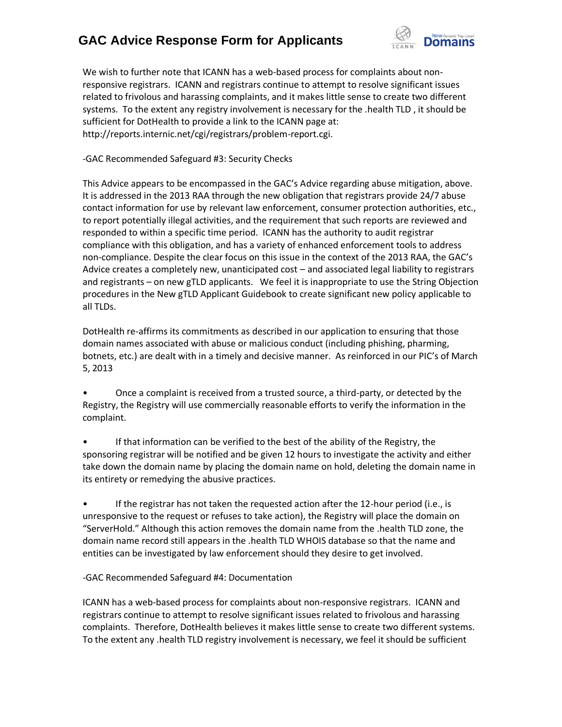

We wish to further note that ICANN has a web-based process for complaints about nonresponsive registrars. ICANN and registrars continue to attempt to resolve significant issues related to frivolous and harassing complaints, and it makes little sense to create two different systems. To the extent any registry involvement is necessary for the .health TLD , it should be sufficient for DotHealth to provide a link to the ICANN page at: http://reports.internic.net/cgi/registrars/problem-report.cgi.

-GAC Recommended Safeguard #3: Security Checks

This Advice appears to be encompassed in the GAC's Advice regarding abuse mitigation, above. It is addressed in the 2013 RAA through the new obligation that registrars provide 24/7 abuse contact information for use by relevant law enforcement, consumer protection authorities, etc., to report potentially illegal activities, and the requirement that such reports are reviewed and responded to within a specific time period. ICANN has the authority to audit registrar compliance with this obligation, and has a variety of enhanced enforcement tools to address non-compliance. Despite the clear focus on this issue in the context of the 2013 RAA, the GAC's Advice creates a completely new, unanticipated cost – and associated legal liability to registrars and registrants – on new gTLD applicants. We feel it is inappropriate to use the String Objection procedures in the New gTLD Applicant Guidebook to create significant new policy applicable to all TLDs.

DotHealth re-affirms its commitments as described in our application to ensuring that those domain names associated with abuse or malicious conduct (including phishing, pharming, botnets, etc.) are dealt with in a timely and decisive manner. As reinforced in our PIC's of March 5, 2013

• Once a complaint is received from a trusted source, a third-party, or detected by the Registry, the Registry will use commercially reasonable efforts to verify the information in the complaint.

• If that information can be verified to the best of the ability of the Registry, the sponsoring registrar will be notified and be given 12 hours to investigate the activity and either take down the domain name by placing the domain name on hold, deleting the domain name in its entirety or remedying the abusive practices.

• If the registrar has not taken the requested action after the 12-hour period (i.e., is unresponsive to the request or refuses to take action), the Registry will place the domain on "ServerHold." Although this action removes the domain name from the .health TLD zone, the domain name record still appears in the .health TLD WHOIS database so that the name and entities can be investigated by law enforcement should they desire to get involved.

-GAC Recommended Safeguard #4: Documentation

ICANN has a web-based process for complaints about non-responsive registrars. ICANN and registrars continue to attempt to resolve significant issues related to frivolous and harassing complaints. Therefore, DotHealth believes it makes little sense to create two different systems. To the extent any .health TLD registry involvement is necessary, we feel it should be sufficient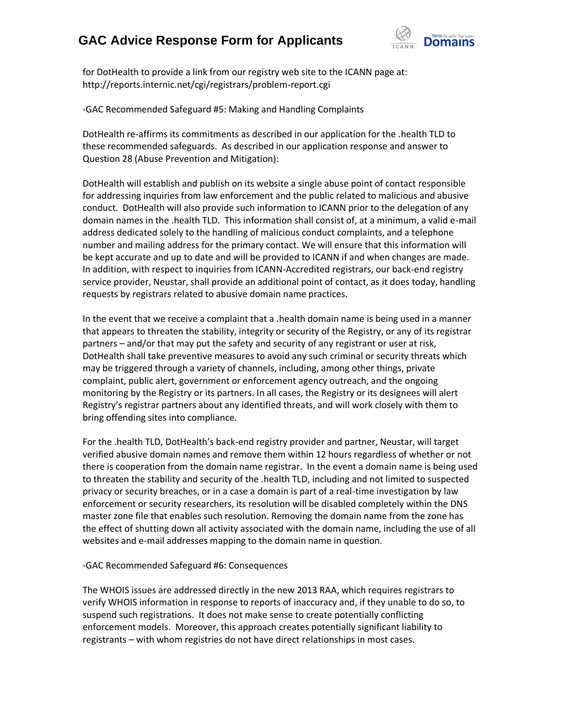

for DotHealth to provide a link from our registry web site to the ICANN page at: http://reports.internic.net/cgi/registrars/problem-report.cgi

-GAC Recommended Safeguard #5: Making and Handling Complaints

DotHealth re-affirms its commitments as described in our application for the .health TLD to these recommended safeguards. As described in our application response and answer to Question 28 (Abuse Prevention and Mitigation):

DotHealth will establish and publish on its website a single abuse point of contact responsible for addressing inquiries from law enforcement and the public related to malicious and abusive conduct. DotHealth will also provide such information to ICANN prior to the delegation of any domain names in the .health TLD. This information shall consist of, at a minimum, a valid e-mail address dedicated solely to the handling of malicious conduct complaints, and a telephone number and mailing address for the primary contact. We will ensure that this information will be kept accurate and up to date and will be provided to ICANN if and when changes are made. In addition, with respect to inquiries from ICANN-Accredited registrars, our back-end registry service provider, Neustar, shall provide an additional point of contact, as it does today, handling requests by registrars related to abusive domain name practices.

In the event that we receive a complaint that a .health domain name is being used in a manner that appears to threaten the stability, integrity or security of the Registry, or any of its registrar partners – and/or that may put the safety and security of any registrant or user at risk, DotHealth shall take preventive measures to avoid any such criminal or security threats which may be triggered through a variety of channels, including, among other things, private complaint, public alert, government or enforcement agency outreach, and the ongoing monitoring by the Registry or its partners. In all cases, the Registry or its designees will alert Registry's registrar partners about any identified threats, and will work closely with them to bring offending sites into compliance.

For the .health TLD, DotHealth's back-end registry provider and partner, Neustar, will target verified abusive domain names and remove them within 12 hours regardless of whether or not there is cooperation from the domain name registrar. In the event a domain name is being used to threaten the stability and security of the .health TLD, including and not limited to suspected privacy or security breaches, or in a case a domain is part of a real-time investigation by law enforcement or security researchers, its resolution will be disabled completely within the DNS master zone file that enables such resolution. Removing the domain name from the zone has the effect of shutting down all activity associated with the domain name, including the use of all websites and e-mail addresses mapping to the domain name in question.

### -GAC Recommended Safeguard #6: Consequences

The WHOIS issues are addressed directly in the new 2013 RAA, which requires registrars to verify WHOIS information in response to reports of inaccuracy and, if they unable to do so, to suspend such registrations. It does not make sense to create potentially conflicting enforcement models. Moreover, this approach creates potentially significant liability to registrants – with whom registries do not have direct relationships in most cases.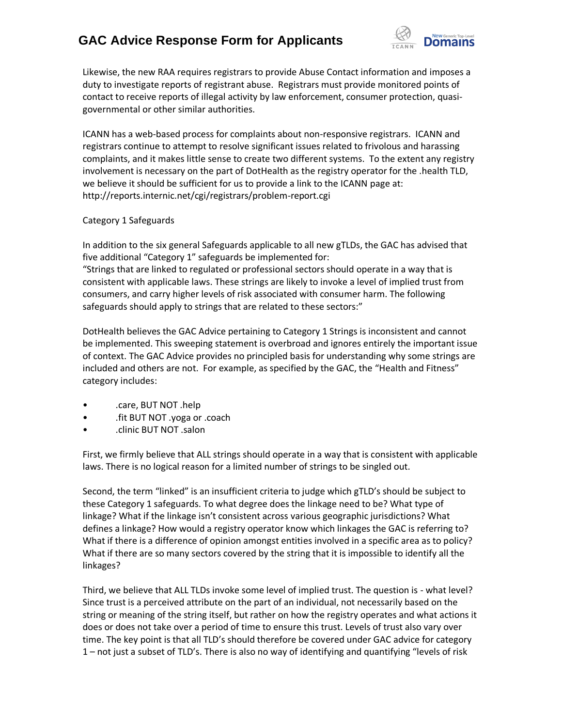

Likewise, the new RAA requires registrars to provide Abuse Contact information and imposes a duty to investigate reports of registrant abuse. Registrars must provide monitored points of contact to receive reports of illegal activity by law enforcement, consumer protection, quasigovernmental or other similar authorities.

ICANN has a web-based process for complaints about non-responsive registrars. ICANN and registrars continue to attempt to resolve significant issues related to frivolous and harassing complaints, and it makes little sense to create two different systems. To the extent any registry involvement is necessary on the part of DotHealth as the registry operator for the .health TLD, we believe it should be sufficient for us to provide a link to the ICANN page at: http://reports.internic.net/cgi/registrars/problem-report.cgi

### Category 1 Safeguards

In addition to the six general Safeguards applicable to all new gTLDs, the GAC has advised that five additional "Category 1" safeguards be implemented for: "Strings that are linked to regulated or professional sectors should operate in a way that is consistent with applicable laws. These strings are likely to invoke a level of implied trust from consumers, and carry higher levels of risk associated with consumer harm. The following safeguards should apply to strings that are related to these sectors:"

DotHealth believes the GAC Advice pertaining to Category 1 Strings is inconsistent and cannot be implemented. This sweeping statement is overbroad and ignores entirely the important issue of context. The GAC Advice provides no principled basis for understanding why some strings are included and others are not. For example, as specified by the GAC, the "Health and Fitness" category includes:

- .care, BUT NOT .help
- .fit BUT NOT .yoga or .coach
- .clinic BUT NOT .salon

First, we firmly believe that ALL strings should operate in a way that is consistent with applicable laws. There is no logical reason for a limited number of strings to be singled out.

Second, the term "linked" is an insufficient criteria to judge which gTLD's should be subject to these Category 1 safeguards. To what degree does the linkage need to be? What type of linkage? What if the linkage isn't consistent across various geographic jurisdictions? What defines a linkage? How would a registry operator know which linkages the GAC is referring to? What if there is a difference of opinion amongst entities involved in a specific area as to policy? What if there are so many sectors covered by the string that it is impossible to identify all the linkages?

Third, we believe that ALL TLDs invoke some level of implied trust. The question is - what level? Since trust is a perceived attribute on the part of an individual, not necessarily based on the string or meaning of the string itself, but rather on how the registry operates and what actions it does or does not take over a period of time to ensure this trust. Levels of trust also vary over time. The key point is that all TLD's should therefore be covered under GAC advice for category 1 – not just a subset of TLD's. There is also no way of identifying and quantifying "levels of risk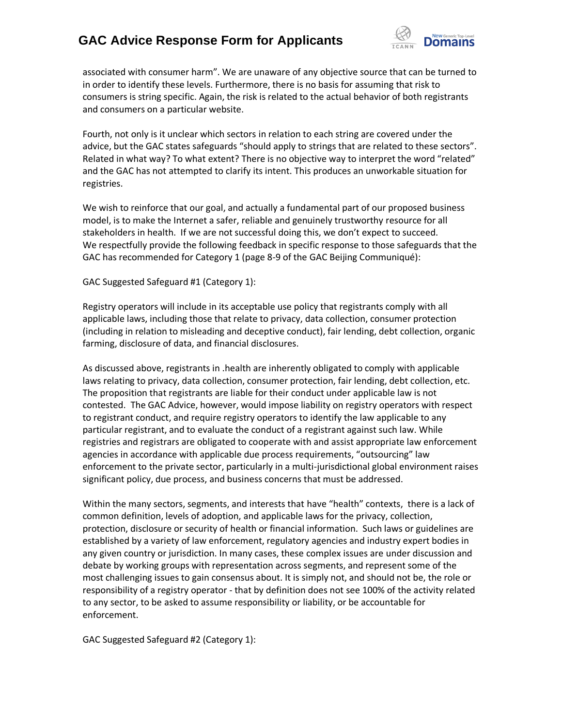

associated with consumer harm". We are unaware of any objective source that can be turned to in order to identify these levels. Furthermore, there is no basis for assuming that risk to consumers is string specific. Again, the risk is related to the actual behavior of both registrants and consumers on a particular website.

Fourth, not only is it unclear which sectors in relation to each string are covered under the advice, but the GAC states safeguards "should apply to strings that are related to these sectors". Related in what way? To what extent? There is no objective way to interpret the word "related" and the GAC has not attempted to clarify its intent. This produces an unworkable situation for registries.

We wish to reinforce that our goal, and actually a fundamental part of our proposed business model, is to make the Internet a safer, reliable and genuinely trustworthy resource for all stakeholders in health. If we are not successful doing this, we don't expect to succeed. We respectfully provide the following feedback in specific response to those safeguards that the GAC has recommended for Category 1 (page 8-9 of the GAC Beijing Communiqué):

GAC Suggested Safeguard #1 (Category 1):

Registry operators will include in its acceptable use policy that registrants comply with all applicable laws, including those that relate to privacy, data collection, consumer protection (including in relation to misleading and deceptive conduct), fair lending, debt collection, organic farming, disclosure of data, and financial disclosures.

As discussed above, registrants in .health are inherently obligated to comply with applicable laws relating to privacy, data collection, consumer protection, fair lending, debt collection, etc. The proposition that registrants are liable for their conduct under applicable law is not contested. The GAC Advice, however, would impose liability on registry operators with respect to registrant conduct, and require registry operators to identify the law applicable to any particular registrant, and to evaluate the conduct of a registrant against such law. While registries and registrars are obligated to cooperate with and assist appropriate law enforcement agencies in accordance with applicable due process requirements, "outsourcing" law enforcement to the private sector, particularly in a multi-jurisdictional global environment raises significant policy, due process, and business concerns that must be addressed.

Within the many sectors, segments, and interests that have "health" contexts, there is a lack of common definition, levels of adoption, and applicable laws for the privacy, collection, protection, disclosure or security of health or financial information. Such laws or guidelines are established by a variety of law enforcement, regulatory agencies and industry expert bodies in any given country or jurisdiction. In many cases, these complex issues are under discussion and debate by working groups with representation across segments, and represent some of the most challenging issues to gain consensus about. It is simply not, and should not be, the role or responsibility of a registry operator - that by definition does not see 100% of the activity related to any sector, to be asked to assume responsibility or liability, or be accountable for enforcement.

GAC Suggested Safeguard #2 (Category 1):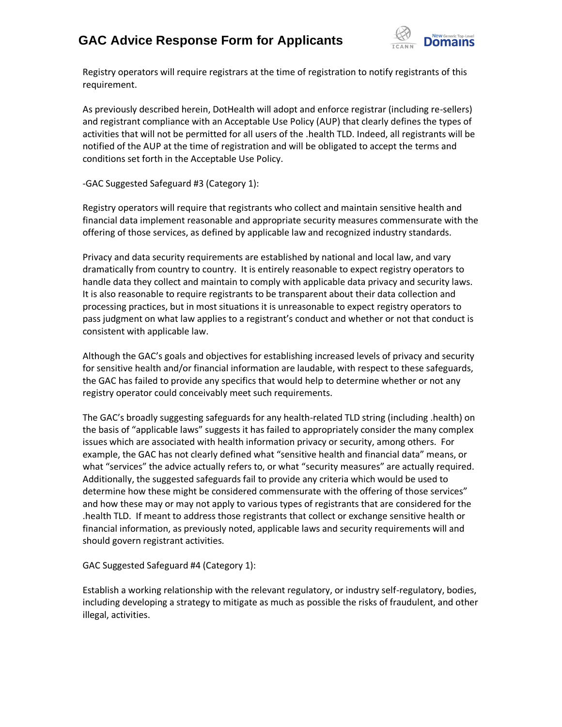

Registry operators will require registrars at the time of registration to notify registrants of this requirement.

As previously described herein, DotHealth will adopt and enforce registrar (including re-sellers) and registrant compliance with an Acceptable Use Policy (AUP) that clearly defines the types of activities that will not be permitted for all users of the .health TLD. Indeed, all registrants will be notified of the AUP at the time of registration and will be obligated to accept the terms and conditions set forth in the Acceptable Use Policy.

-GAC Suggested Safeguard #3 (Category 1):

Registry operators will require that registrants who collect and maintain sensitive health and financial data implement reasonable and appropriate security measures commensurate with the offering of those services, as defined by applicable law and recognized industry standards.

Privacy and data security requirements are established by national and local law, and vary dramatically from country to country. It is entirely reasonable to expect registry operators to handle data they collect and maintain to comply with applicable data privacy and security laws. It is also reasonable to require registrants to be transparent about their data collection and processing practices, but in most situations it is unreasonable to expect registry operators to pass judgment on what law applies to a registrant's conduct and whether or not that conduct is consistent with applicable law.

Although the GAC's goals and objectives for establishing increased levels of privacy and security for sensitive health and/or financial information are laudable, with respect to these safeguards, the GAC has failed to provide any specifics that would help to determine whether or not any registry operator could conceivably meet such requirements.

The GAC's broadly suggesting safeguards for any health-related TLD string (including .health) on the basis of "applicable laws" suggests it has failed to appropriately consider the many complex issues which are associated with health information privacy or security, among others. For example, the GAC has not clearly defined what "sensitive health and financial data" means, or what "services" the advice actually refers to, or what "security measures" are actually required. Additionally, the suggested safeguards fail to provide any criteria which would be used to determine how these might be considered commensurate with the offering of those services" and how these may or may not apply to various types of registrants that are considered for the .health TLD. If meant to address those registrants that collect or exchange sensitive health or financial information, as previously noted, applicable laws and security requirements will and should govern registrant activities.

### GAC Suggested Safeguard #4 (Category 1):

Establish a working relationship with the relevant regulatory, or industry self-regulatory, bodies, including developing a strategy to mitigate as much as possible the risks of fraudulent, and other illegal, activities.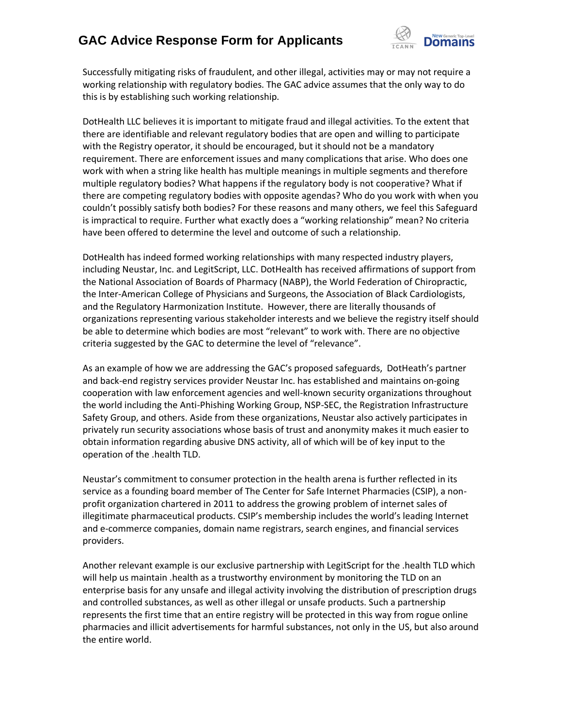

Successfully mitigating risks of fraudulent, and other illegal, activities may or may not require a working relationship with regulatory bodies. The GAC advice assumes that the only way to do this is by establishing such working relationship.

DotHealth LLC believes it is important to mitigate fraud and illegal activities. To the extent that there are identifiable and relevant regulatory bodies that are open and willing to participate with the Registry operator, it should be encouraged, but it should not be a mandatory requirement. There are enforcement issues and many complications that arise. Who does one work with when a string like health has multiple meanings in multiple segments and therefore multiple regulatory bodies? What happens if the regulatory body is not cooperative? What if there are competing regulatory bodies with opposite agendas? Who do you work with when you couldn't possibly satisfy both bodies? For these reasons and many others, we feel this Safeguard is impractical to require. Further what exactly does a "working relationship" mean? No criteria have been offered to determine the level and outcome of such a relationship.

DotHealth has indeed formed working relationships with many respected industry players, including Neustar, Inc. and LegitScript, LLC. DotHealth has received affirmations of support from the National Association of Boards of Pharmacy (NABP), the World Federation of Chiropractic, the Inter-American College of Physicians and Surgeons, the Association of Black Cardiologists, and the Regulatory Harmonization Institute. However, there are literally thousands of organizations representing various stakeholder interests and we believe the registry itself should be able to determine which bodies are most "relevant" to work with. There are no objective criteria suggested by the GAC to determine the level of "relevance".

As an example of how we are addressing the GAC's proposed safeguards, DotHeath's partner and back-end registry services provider Neustar Inc. has established and maintains on-going cooperation with law enforcement agencies and well-known security organizations throughout the world including the Anti-Phishing Working Group, NSP-SEC, the Registration Infrastructure Safety Group, and others. Aside from these organizations, Neustar also actively participates in privately run security associations whose basis of trust and anonymity makes it much easier to obtain information regarding abusive DNS activity, all of which will be of key input to the operation of the .health TLD.

Neustar's commitment to consumer protection in the health arena is further reflected in its service as a founding board member of The Center for Safe Internet Pharmacies (CSIP), a nonprofit organization chartered in 2011 to address the growing problem of internet sales of illegitimate pharmaceutical products. CSIP's membership includes the world's leading Internet and e-commerce companies, domain name registrars, search engines, and financial services providers.

Another relevant example is our exclusive partnership with LegitScript for the .health TLD which will help us maintain .health as a trustworthy environment by monitoring the TLD on an enterprise basis for any unsafe and illegal activity involving the distribution of prescription drugs and controlled substances, as well as other illegal or unsafe products. Such a partnership represents the first time that an entire registry will be protected in this way from rogue online pharmacies and illicit advertisements for harmful substances, not only in the US, but also around the entire world.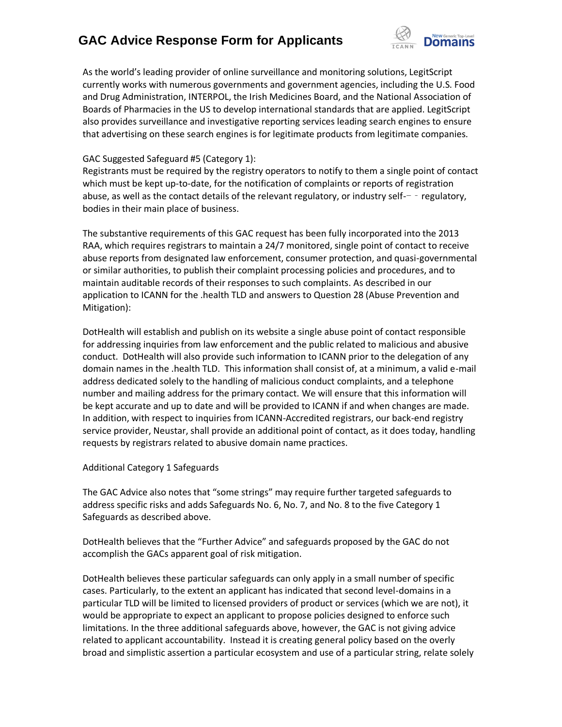

As the world's leading provider of online surveillance and monitoring solutions, LegitScript currently works with numerous governments and government agencies, including the U.S. Food and Drug Administration, INTERPOL, the Irish Medicines Board, and the National Association of Boards of Pharmacies in the US to develop international standards that are applied. LegitScript also provides surveillance and investigative reporting services leading search engines to ensure that advertising on these search engines is for legitimate products from legitimate companies.

### GAC Suggested Safeguard #5 (Category 1):

Registrants must be required by the registry operators to notify to them a single point of contact which must be kept up-to-date, for the notification of complaints or reports of registration abuse, as well as the contact details of the relevant regulatory, or industry self- $-$  - regulatory, bodies in their main place of business.

The substantive requirements of this GAC request has been fully incorporated into the 2013 RAA, which requires registrars to maintain a 24/7 monitored, single point of contact to receive abuse reports from designated law enforcement, consumer protection, and quasi-governmental or similar authorities, to publish their complaint processing policies and procedures, and to maintain auditable records of their responses to such complaints. As described in our application to ICANN for the .health TLD and answers to Question 28 (Abuse Prevention and Mitigation):

DotHealth will establish and publish on its website a single abuse point of contact responsible for addressing inquiries from law enforcement and the public related to malicious and abusive conduct. DotHealth will also provide such information to ICANN prior to the delegation of any domain names in the .health TLD. This information shall consist of, at a minimum, a valid e-mail address dedicated solely to the handling of malicious conduct complaints, and a telephone number and mailing address for the primary contact. We will ensure that this information will be kept accurate and up to date and will be provided to ICANN if and when changes are made. In addition, with respect to inquiries from ICANN-Accredited registrars, our back-end registry service provider, Neustar, shall provide an additional point of contact, as it does today, handling requests by registrars related to abusive domain name practices.

### Additional Category 1 Safeguards

The GAC Advice also notes that "some strings" may require further targeted safeguards to address specific risks and adds Safeguards No. 6, No. 7, and No. 8 to the five Category 1 Safeguards as described above.

DotHealth believes that the "Further Advice" and safeguards proposed by the GAC do not accomplish the GACs apparent goal of risk mitigation.

DotHealth believes these particular safeguards can only apply in a small number of specific cases. Particularly, to the extent an applicant has indicated that second level-domains in a particular TLD will be limited to licensed providers of product or services (which we are not), it would be appropriate to expect an applicant to propose policies designed to enforce such limitations. In the three additional safeguards above, however, the GAC is not giving advice related to applicant accountability. Instead it is creating general policy based on the overly broad and simplistic assertion a particular ecosystem and use of a particular string, relate solely